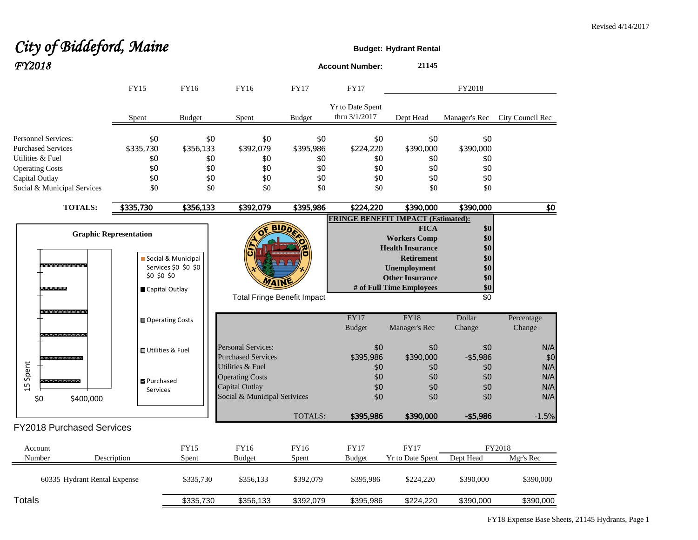## City of Biddeford, Maine *FY2018* **Account Number: <sup>21145</sup>**

|                                               |                               | FY15               | FY16                      | FY16                         |             | <b>FY17</b>                        | <b>FY17</b>                              | FY2018                                    |                 |                  |
|-----------------------------------------------|-------------------------------|--------------------|---------------------------|------------------------------|-------------|------------------------------------|------------------------------------------|-------------------------------------------|-----------------|------------------|
|                                               |                               | Spent              | <b>Budget</b>             | Spent                        |             | <b>Budget</b>                      | <b>Yr to Date Spent</b><br>thru 3/1/2017 | Dept Head                                 | Manager's Rec   | City Council Rec |
| <b>Personnel Services:</b>                    |                               | \$0                |                           | \$0                          | \$0         | \$0                                | \$0                                      | \$0                                       | \$0             |                  |
| <b>Purchased Services</b>                     |                               | \$335,730          | \$356,133                 |                              | \$392,079   | \$395,986                          | \$224,220                                | \$390,000                                 | \$390,000       |                  |
| Utilities & Fuel                              |                               | \$0                |                           | \$0<br>\$0<br>\$0<br>\$0     |             | \$0<br>\$0                         | \$0<br>\$0                               | \$0<br>\$0                                | \$0<br>\$0      |                  |
| <b>Operating Costs</b>                        |                               | \$0                |                           |                              |             |                                    |                                          |                                           |                 |                  |
| Capital Outlay<br>Social & Municipal Services |                               | \$0<br>\$0         | \$0<br>\$0                | \$0<br>\$0                   | \$0<br>\$0  | \$0<br>\$0                         | \$0<br>\$0                               | \$0<br>\$0                                |                 |                  |
|                                               | <b>TOTALS:</b>                | \$335,730          | \$356,133                 |                              | \$392,079   | \$395,986                          | \$224,220                                | \$390,000                                 | \$390,000       | \$0              |
|                                               |                               |                    |                           |                              |             |                                    |                                          | <b>FRINGE BENEFIT IMPACT (Estimated):</b> |                 |                  |
|                                               |                               |                    |                           |                              |             | <b>BIDD</b>                        |                                          | <b>FICA</b>                               | \$0             |                  |
|                                               | <b>Graphic Representation</b> |                    |                           |                              |             |                                    |                                          | <b>Workers Comp</b>                       | \$0             |                  |
|                                               |                               |                    |                           |                              |             |                                    |                                          | <b>Health Insurance</b>                   | \$0             |                  |
|                                               |                               |                    | Social & Municipal        |                              |             |                                    |                                          | <b>Retirement</b>                         | \$0             |                  |
|                                               |                               |                    | Services \$0 \$0 \$0      |                              |             |                                    |                                          | <b>Unemployment</b>                       | \$0             |                  |
|                                               |                               | \$0 \$0 \$0        |                           |                              |             |                                    |                                          | <b>Other Insurance</b>                    | \$0             |                  |
| <b>REAL PROPERTY OF</b>                       |                               |                    | Capital Outlay            |                              | <b>7AIN</b> |                                    |                                          | # of Full Time Employees                  | \$0             |                  |
|                                               |                               |                    |                           |                              |             | <b>Total Fringe Benefit Impact</b> |                                          |                                           | $\overline{50}$ |                  |
|                                               |                               |                    | <b>■ Operating Costs</b>  |                              |             |                                    | FY17                                     | <b>FY18</b>                               | Dollar          | Percentage       |
|                                               |                               |                    |                           |                              |             |                                    | <b>Budget</b>                            | Manager's Rec                             | Change          | Change           |
|                                               |                               |                    | <b>□</b> Utilities & Fuel | <b>Personal Services:</b>    |             |                                    | \$0                                      | \$0                                       | \$0             | N/A              |
|                                               |                               |                    |                           | <b>Purchased Services</b>    |             |                                    | \$395,986                                | \$390,000                                 | $-$ \$5,986     | \$0              |
| Spent                                         |                               |                    |                           | Utilities & Fuel             |             |                                    | \$0                                      | \$0                                       | \$0             | N/A              |
|                                               | ***********                   | <b>B</b> Purchased |                           | <b>Operating Costs</b>       |             |                                    | \$0                                      | \$0                                       | \$0             | N/A              |
| 15                                            |                               | <b>Services</b>    |                           | Capital Outlay               |             |                                    | \$0                                      | \$0                                       | \$0             | N/A              |
| \$0                                           | \$400,000                     |                    |                           | Social & Municipal Serivices |             |                                    | \$0                                      | \$0                                       | \$0             | N/A              |
|                                               |                               |                    |                           |                              |             | TOTALS:                            | \$395,986                                | \$390,000                                 | $- $5,986$      | $-1.5%$          |
|                                               | FY2018 Purchased Services     |                    |                           |                              |             |                                    |                                          |                                           |                 |                  |
| Account                                       |                               |                    | <b>FY15</b>               | FY16                         |             | FY16                               | <b>FY17</b>                              | <b>FY17</b>                               |                 | FY2018           |
| Number                                        | Description                   |                    | Spent                     | <b>Budget</b>                |             | Spent                              | <b>Budget</b>                            | Yr to Date Spent                          | Dept Head       | Mgr's Rec        |
|                                               | 60335 Hydrant Rental Expense  |                    | \$335,730                 |                              | \$356,133   | \$392,079                          | \$395,986                                | \$224,220                                 | \$390,000       | \$390,000        |
| Totals                                        |                               |                    | \$335,730                 |                              | \$356,133   | \$392.079                          | \$395.986                                | \$224.220                                 | \$390.000       | \$390.000        |